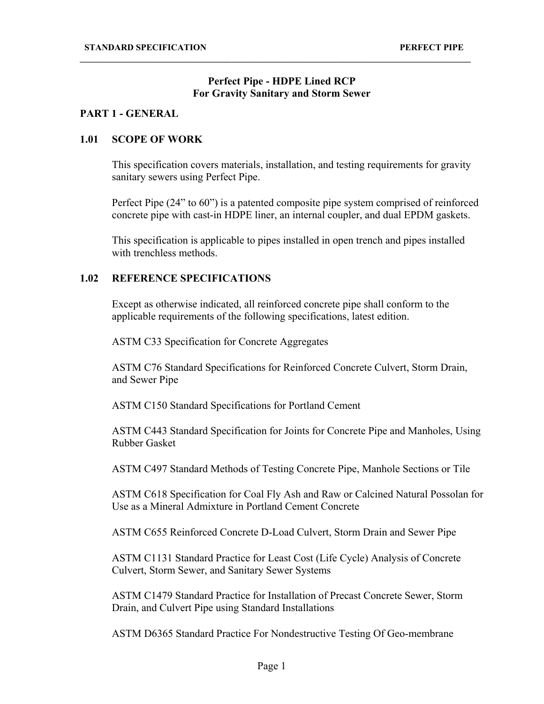## **Perfect Pipe - HDPE Lined RCP For Gravity Sanitary and Storm Sewer**

**\_\_\_\_\_\_\_\_\_\_\_\_\_\_\_\_\_\_\_\_\_\_\_\_\_\_\_\_\_\_\_\_\_\_\_\_\_\_\_\_\_\_\_\_\_\_\_\_\_\_\_\_\_\_\_\_\_\_\_\_\_\_\_\_\_\_\_\_\_\_\_\_\_\_\_\_\_\_\_\_\_\_\_\_\_\_\_\_**

# **PART 1 - GENERAL**

## **1.01 SCOPE OF WORK**

This specification covers materials, installation, and testing requirements for gravity sanitary sewers using Perfect Pipe.

Perfect Pipe (24" to 60") is a patented composite pipe system comprised of reinforced concrete pipe with cast-in HDPE liner, an internal coupler, and dual EPDM gaskets.

This specification is applicable to pipes installed in open trench and pipes installed with trenchless methods.

# **1.02 REFERENCE SPECIFICATIONS**

Except as otherwise indicated, all reinforced concrete pipe shall conform to the applicable requirements of the following specifications, latest edition.

ASTM C33 Specification for Concrete Aggregates

ASTM C76 Standard Specifications for Reinforced Concrete Culvert, Storm Drain, and Sewer Pipe

ASTM C150 Standard Specifications for Portland Cement

ASTM C443 Standard Specification for Joints for Concrete Pipe and Manholes, Using Rubber Gasket

ASTM C497 Standard Methods of Testing Concrete Pipe, Manhole Sections or Tile

ASTM C618 Specification for Coal Fly Ash and Raw or Calcined Natural Possolan for Use as a Mineral Admixture in Portland Cement Concrete

ASTM C655 Reinforced Concrete D-Load Culvert, Storm Drain and Sewer Pipe

ASTM C1131 Standard Practice for Least Cost (Life Cycle) Analysis of Concrete Culvert, Storm Sewer, and Sanitary Sewer Systems

ASTM C1479 Standard Practice for Installation of Precast Concrete Sewer, Storm Drain, and Culvert Pipe using Standard Installations

ASTM D6365 Standard Practice For Nondestructive Testing Of Geo-membrane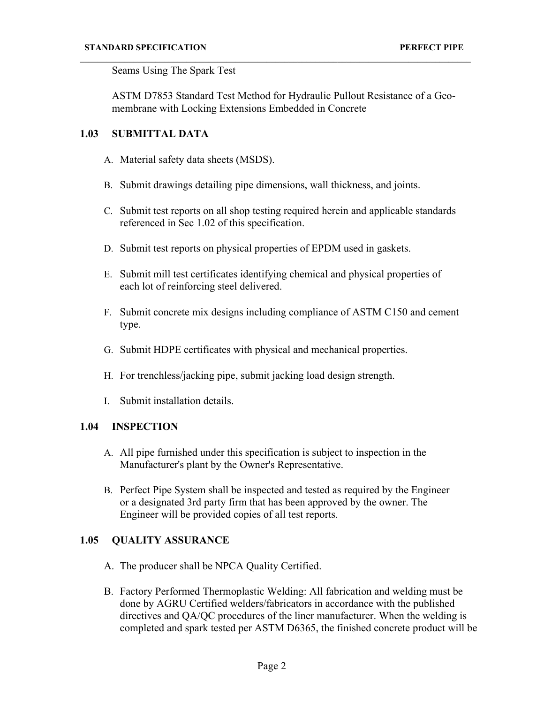Seams Using The Spark Test

ASTM D7853 Standard Test Method for Hydraulic Pullout Resistance of a Geomembrane with Locking Extensions Embedded in Concrete

**\_\_\_\_\_\_\_\_\_\_\_\_\_\_\_\_\_\_\_\_\_\_\_\_\_\_\_\_\_\_\_\_\_\_\_\_\_\_\_\_\_\_\_\_\_\_\_\_\_\_\_\_\_\_\_\_\_\_\_\_\_\_\_\_\_\_\_\_\_\_\_\_\_\_\_\_\_\_\_\_\_\_\_\_\_\_\_\_**

# **1.03 SUBMITTAL DATA**

- A. Material safety data sheets (MSDS).
- B. Submit drawings detailing pipe dimensions, wall thickness, and joints.
- C. Submit test reports on all shop testing required herein and applicable standards referenced in Sec 1.02 of this specification.
- D. Submit test reports on physical properties of EPDM used in gaskets.
- E. Submit mill test certificates identifying chemical and physical properties of each lot of reinforcing steel delivered.
- F. Submit concrete mix designs including compliance of ASTM C150 and cement type.
- G. Submit HDPE certificates with physical and mechanical properties.
- H. For trenchless/jacking pipe, submit jacking load design strength.
- I. Submit installation details.

## **1.04 INSPECTION**

- A. All pipe furnished under this specification is subject to inspection in the Manufacturer's plant by the Owner's Representative.
- B. Perfect Pipe System shall be inspected and tested as required by the Engineer or a designated 3rd party firm that has been approved by the owner. The Engineer will be provided copies of all test reports.

# **1.05 QUALITY ASSURANCE**

- A. The producer shall be NPCA Quality Certified.
- B. Factory Performed Thermoplastic Welding: All fabrication and welding must be done by AGRU Certified welders/fabricators in accordance with the published directives and QA/QC procedures of the liner manufacturer. When the welding is completed and spark tested per ASTM D6365, the finished concrete product will be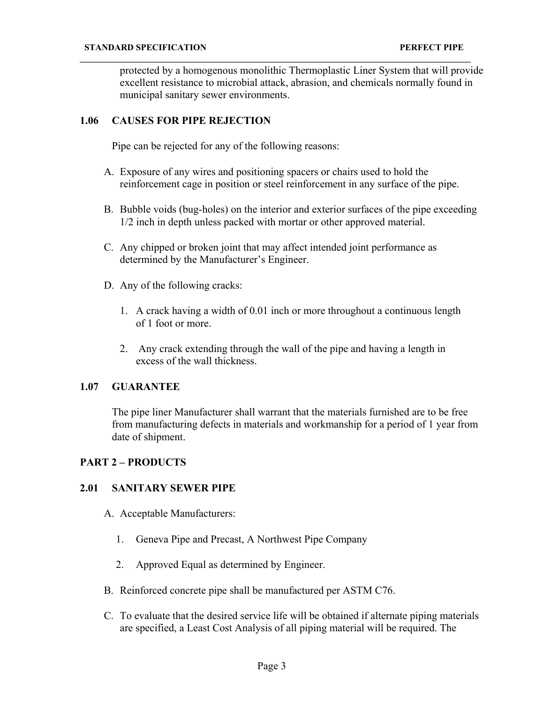protected by a homogenous monolithic Thermoplastic Liner System that will provide excellent resistance to microbial attack, abrasion, and chemicals normally found in municipal sanitary sewer environments.

#### **1.06 CAUSES FOR PIPE REJECTION**

Pipe can be rejected for any of the following reasons:

A. Exposure of any wires and positioning spacers or chairs used to hold the reinforcement cage in position or steel reinforcement in any surface of the pipe.

**\_\_\_\_\_\_\_\_\_\_\_\_\_\_\_\_\_\_\_\_\_\_\_\_\_\_\_\_\_\_\_\_\_\_\_\_\_\_\_\_\_\_\_\_\_\_\_\_\_\_\_\_\_\_\_\_\_\_\_\_\_\_\_\_\_\_\_\_\_\_\_\_\_\_\_\_\_\_\_\_\_\_\_\_\_\_\_\_**

- B. Bubble voids (bug-holes) on the interior and exterior surfaces of the pipe exceeding 1/2 inch in depth unless packed with mortar or other approved material.
- C. Any chipped or broken joint that may affect intended joint performance as determined by the Manufacturer's Engineer.
- D. Any of the following cracks:
	- 1. A crack having a width of 0.01 inch or more throughout a continuous length of 1 foot or more.
	- 2. Any crack extending through the wall of the pipe and having a length in excess of the wall thickness.

# **1.07 GUARANTEE**

The pipe liner Manufacturer shall warrant that the materials furnished are to be free from manufacturing defects in materials and workmanship for a period of 1 year from date of shipment.

## **PART 2 – PRODUCTS**

## **2.01 SANITARY SEWER PIPE**

- A. Acceptable Manufacturers:
	- 1. Geneva Pipe and Precast, A Northwest Pipe Company
	- 2. Approved Equal as determined by Engineer.
- B. Reinforced concrete pipe shall be manufactured per ASTM C76.
- C. To evaluate that the desired service life will be obtained if alternate piping materials are specified, a Least Cost Analysis of all piping material will be required. The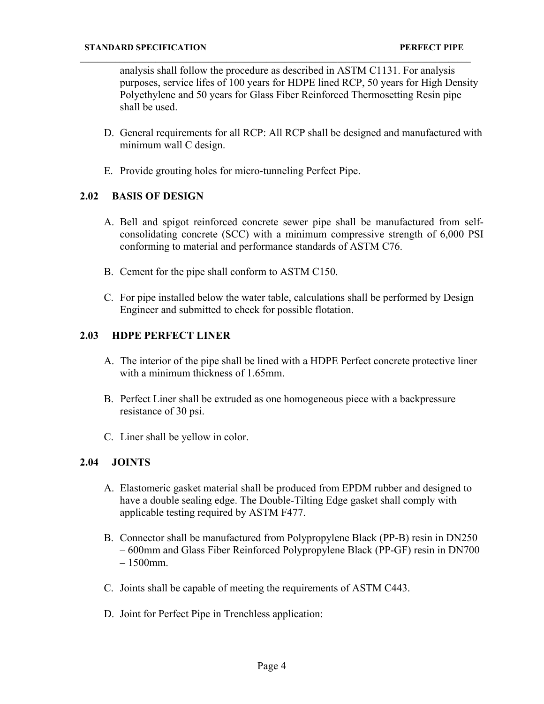analysis shall follow the procedure as described in ASTM C1131. For analysis purposes, service lifes of 100 years for HDPE lined RCP, 50 years for High Density Polyethylene and 50 years for Glass Fiber Reinforced Thermosetting Resin pipe shall be used.

**\_\_\_\_\_\_\_\_\_\_\_\_\_\_\_\_\_\_\_\_\_\_\_\_\_\_\_\_\_\_\_\_\_\_\_\_\_\_\_\_\_\_\_\_\_\_\_\_\_\_\_\_\_\_\_\_\_\_\_\_\_\_\_\_\_\_\_\_\_\_\_\_\_\_\_\_\_\_\_\_\_\_\_\_\_\_\_\_**

- D. General requirements for all RCP: All RCP shall be designed and manufactured with minimum wall C design.
- E. Provide grouting holes for micro-tunneling Perfect Pipe.

## **2.02 BASIS OF DESIGN**

- A. Bell and spigot reinforced concrete sewer pipe shall be manufactured from selfconsolidating concrete (SCC) with a minimum compressive strength of 6,000 PSI conforming to material and performance standards of ASTM C76.
- B. Cement for the pipe shall conform to ASTM C150.
- C. For pipe installed below the water table, calculations shall be performed by Design Engineer and submitted to check for possible flotation.

## **2.03 HDPE PERFECT LINER**

- A. The interior of the pipe shall be lined with a HDPE Perfect concrete protective liner with a minimum thickness of 1.65mm.
- B. Perfect Liner shall be extruded as one homogeneous piece with a backpressure resistance of 30 psi.
- C. Liner shall be yellow in color.

## **2.04 JOINTS**

- A. Elastomeric gasket material shall be produced from EPDM rubber and designed to have a double sealing edge. The Double-Tilting Edge gasket shall comply with applicable testing required by ASTM F477.
- B. Connector shall be manufactured from Polypropylene Black (PP-B) resin in DN250 – 600mm and Glass Fiber Reinforced Polypropylene Black (PP-GF) resin in DN700  $-1500$ mm.
- C. Joints shall be capable of meeting the requirements of ASTM C443.
- D. Joint for Perfect Pipe in Trenchless application: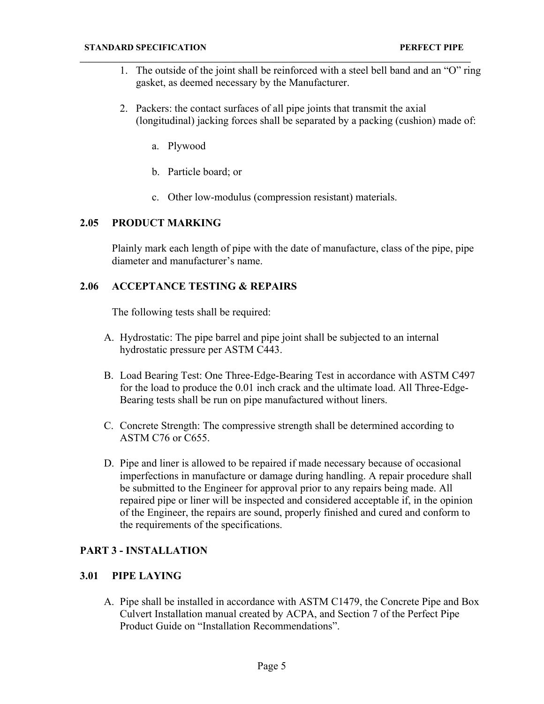- 1. The outside of the joint shall be reinforced with a steel bell band and an "O" ring gasket, as deemed necessary by the Manufacturer.
- 2. Packers: the contact surfaces of all pipe joints that transmit the axial (longitudinal) jacking forces shall be separated by a packing (cushion) made of:
	- a. Plywood
	- b. Particle board; or
	- c. Other low-modulus (compression resistant) materials.

**\_\_\_\_\_\_\_\_\_\_\_\_\_\_\_\_\_\_\_\_\_\_\_\_\_\_\_\_\_\_\_\_\_\_\_\_\_\_\_\_\_\_\_\_\_\_\_\_\_\_\_\_\_\_\_\_\_\_\_\_\_\_\_\_\_\_\_\_\_\_\_\_\_\_\_\_\_\_\_\_\_\_\_\_\_\_\_\_**

#### **2.05 PRODUCT MARKING**

Plainly mark each length of pipe with the date of manufacture, class of the pipe, pipe diameter and manufacturer's name.

## **2.06 ACCEPTANCE TESTING & REPAIRS**

The following tests shall be required:

- A. Hydrostatic: The pipe barrel and pipe joint shall be subjected to an internal hydrostatic pressure per ASTM C443.
- B. Load Bearing Test: One Three-Edge-Bearing Test in accordance with ASTM C497 for the load to produce the 0.01 inch crack and the ultimate load. All Three-Edge-Bearing tests shall be run on pipe manufactured without liners.
- C. Concrete Strength: The compressive strength shall be determined according to ASTM C76 or C655.
- D. Pipe and liner is allowed to be repaired if made necessary because of occasional imperfections in manufacture or damage during handling. A repair procedure shall be submitted to the Engineer for approval prior to any repairs being made. All repaired pipe or liner will be inspected and considered acceptable if, in the opinion of the Engineer, the repairs are sound, properly finished and cured and conform to the requirements of the specifications.

## **PART 3 - INSTALLATION**

#### **3.01 PIPE LAYING**

A. Pipe shall be installed in accordance with ASTM C1479, the Concrete Pipe and Box Culvert Installation manual created by ACPA, and Section 7 of the Perfect Pipe Product Guide on "Installation Recommendations".